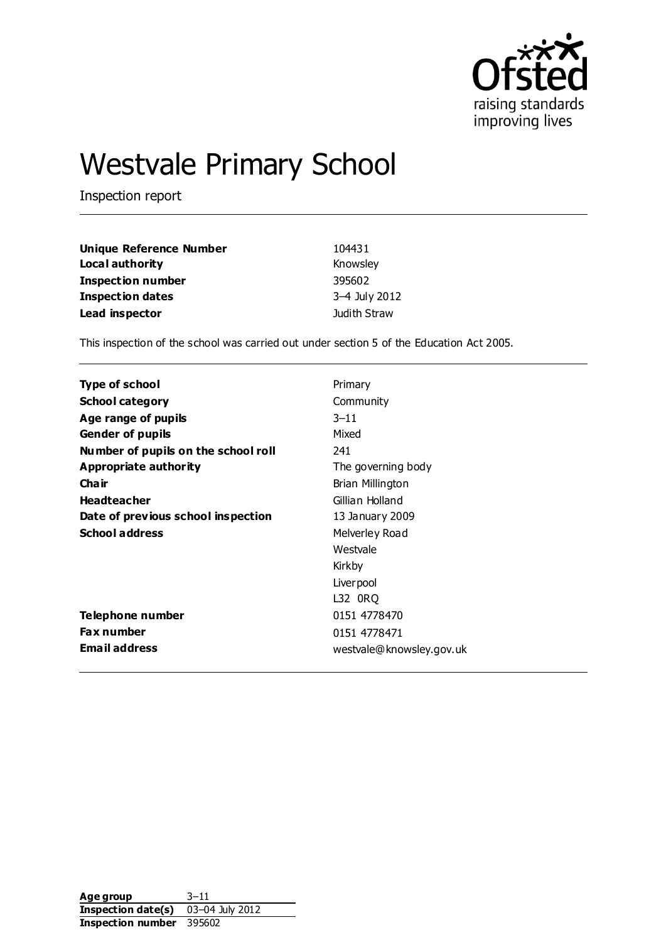

# Westvale Primary School

Inspection report

| <b>Unique Reference Number</b> | 104431        |
|--------------------------------|---------------|
| Local authority                | Knowsley      |
| <b>Inspection number</b>       | 395602        |
| <b>Inspection dates</b>        | 3-4 July 2012 |
| Lead inspector                 | Judith Straw  |

This inspection of the school was carried out under section 5 of the Education Act 2005.

| Primary                  |
|--------------------------|
| Community                |
| $3 - 11$                 |
| Mixed                    |
| 241                      |
| The governing body       |
| Brian Millington         |
| Gillian Holland          |
| 13 January 2009          |
| Melverley Road           |
| Westvale                 |
| Kirkby                   |
| Liver pool               |
| L32 ORQ                  |
| 0151 4778470             |
| 0151 4778471             |
| westvale@knowsley.gov.uk |
|                          |

Age group 3-11 **Inspection date(s)** 03–04 July 2012 **Inspection number** 395602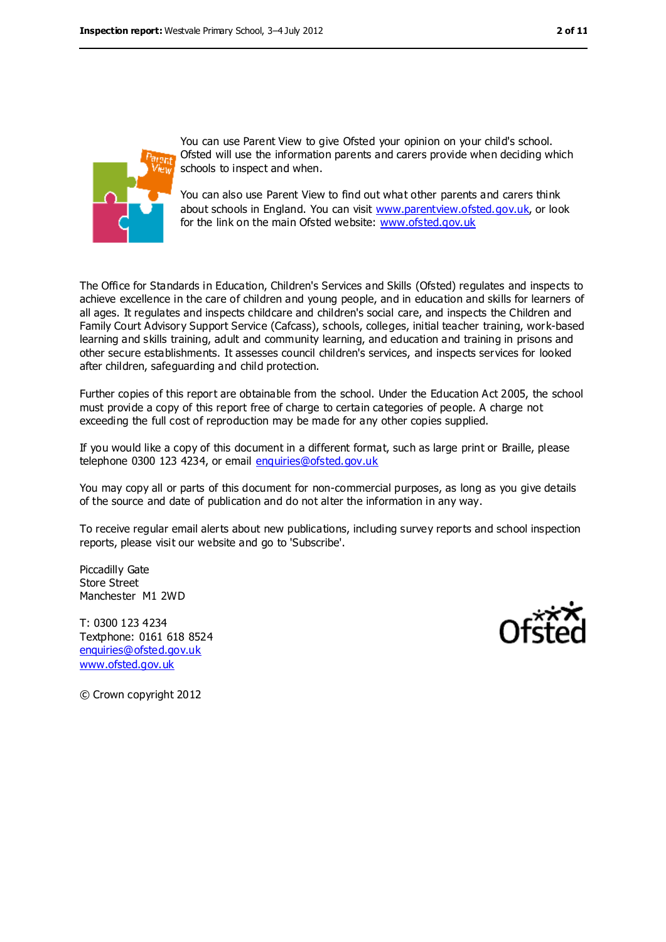

You can use Parent View to give Ofsted your opinion on your child's school. Ofsted will use the information parents and carers provide when deciding which schools to inspect and when.

You can also use Parent View to find out what other parents and carers think about schools in England. You can visit [www.parentview.ofsted.gov.uk,](../../../../../AppData/Local/Microsoft/Windows/AppData/Local/AppData/Local/Microsoft/Windows/AppData/Local/Microsoft/Windows/Temporary%20Internet%20Files/Content.IE5/FEBCU1GJ/www.parentview.ofsted.gov.uk) or look for the link on the main Ofsted website: [www.ofsted.gov.uk](../../AppData/Downloads/www.ofsted.gov.uk)

The Office for Standards in Education, Children's Services and Skills (Ofsted) regulates and inspects to achieve excellence in the care of children and young people, and in education and skills for learners of all ages. It regulates and inspects childcare and children's social care, and inspects the Children and Family Court Advisory Support Service (Cafcass), schools, colleges, initial teacher training, work-based learning and skills training, adult and community learning, and education and training in prisons and other secure establishments. It assesses council children's services, and inspects services for looked after children, safeguarding and child protection.

Further copies of this report are obtainable from the school. Under the Education Act 2005, the school must provide a copy of this report free of charge to certain categories of people. A charge not exceeding the full cost of reproduction may be made for any other copies supplied.

If you would like a copy of this document in a different format, such as large print or Braille, please telephone 0300 123 4234, or email [enquiries@ofsted.gov.uk](mailto:enquiries@ofsted.gov.uk)

You may copy all or parts of this document for non-commercial purposes, as long as you give details of the source and date of publication and do not alter the information in any way.

To receive regular email alerts about new publications, including survey reports and school inspection reports, please visit our website and go to 'Subscribe'.

Piccadilly Gate Store Street Manchester M1 2WD

T: 0300 123 4234 Textphone: 0161 618 8524 [enquiries@ofsted.gov.uk](mailto:enquiries@ofsted.gov.uk) [www.ofsted.gov.uk](http://www.ofsted.gov.uk/)



© Crown copyright 2012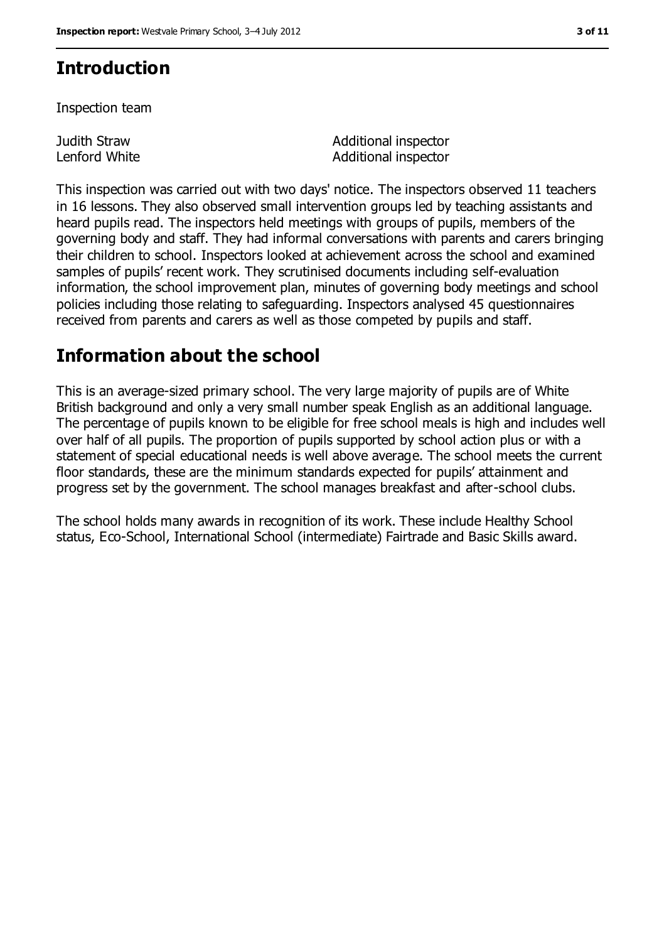# **Introduction**

Inspection team

Judith Straw Lenford White Additional inspector Additional inspector

This inspection was carried out with two days' notice. The inspectors observed 11 teachers in 16 lessons. They also observed small intervention groups led by teaching assistants and heard pupils read. The inspectors held meetings with groups of pupils, members of the governing body and staff. They had informal conversations with parents and carers bringing their children to school. Inspectors looked at achievement across the school and examined samples of pupils' recent work. They scrutinised documents including self-evaluation information, the school improvement plan, minutes of governing body meetings and school policies including those relating to safeguarding. Inspectors analysed 45 questionnaires received from parents and carers as well as those competed by pupils and staff.

## **Information about the school**

This is an average-sized primary school. The very large majority of pupils are of White British background and only a very small number speak English as an additional language. The percentage of pupils known to be eligible for free school meals is high and includes well over half of all pupils. The proportion of pupils supported by school action plus or with a statement of special educational needs is well above average. The school meets the current floor standards, these are the minimum standards expected for pupils' attainment and progress set by the government. The school manages breakfast and after-school clubs.

The school holds many awards in recognition of its work. These include Healthy School status, Eco-School, International School (intermediate) Fairtrade and Basic Skills award.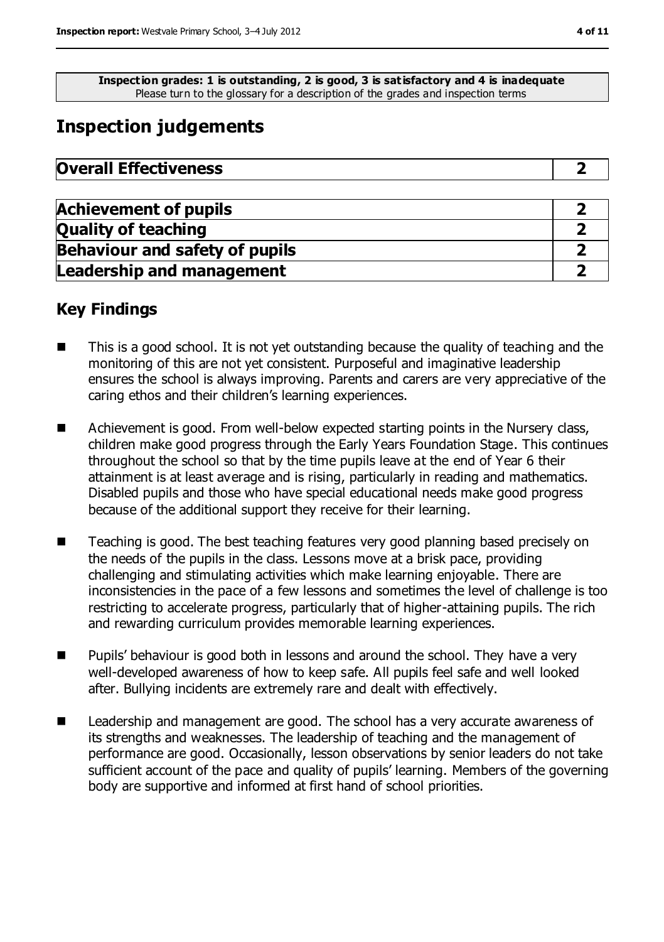**Inspection grades: 1 is outstanding, 2 is good, 3 is satisfactory and 4 is inadequate** Please turn to the glossary for a description of the grades and inspection terms

# **Inspection judgements**

| <b>Overall Effectiveness</b> |  |
|------------------------------|--|
|------------------------------|--|

| <b>Achievement of pupils</b>          |  |
|---------------------------------------|--|
| <b>Quality of teaching</b>            |  |
| <b>Behaviour and safety of pupils</b> |  |
| <b>Leadership and management</b>      |  |

### **Key Findings**

- This is a good school. It is not yet outstanding because the quality of teaching and the monitoring of this are not yet consistent. Purposeful and imaginative leadership ensures the school is always improving. Parents and carers are very appreciative of the caring ethos and their children's learning experiences.
- Achievement is good. From well-below expected starting points in the Nursery class, children make good progress through the Early Years Foundation Stage. This continues throughout the school so that by the time pupils leave at the end of Year 6 their attainment is at least average and is rising, particularly in reading and mathematics. Disabled pupils and those who have special educational needs make good progress because of the additional support they receive for their learning.
- Teaching is good. The best teaching features very good planning based precisely on the needs of the pupils in the class. Lessons move at a brisk pace, providing challenging and stimulating activities which make learning enjoyable. There are inconsistencies in the pace of a few lessons and sometimes the level of challenge is too restricting to accelerate progress, particularly that of higher-attaining pupils. The rich and rewarding curriculum provides memorable learning experiences.
- Pupils' behaviour is good both in lessons and around the school. They have a very well-developed awareness of how to keep safe. All pupils feel safe and well looked after. Bullying incidents are extremely rare and dealt with effectively.
- Leadership and management are good. The school has a very accurate awareness of its strengths and weaknesses. The leadership of teaching and the management of performance are good. Occasionally, lesson observations by senior leaders do not take sufficient account of the pace and quality of pupils' learning. Members of the governing body are supportive and informed at first hand of school priorities.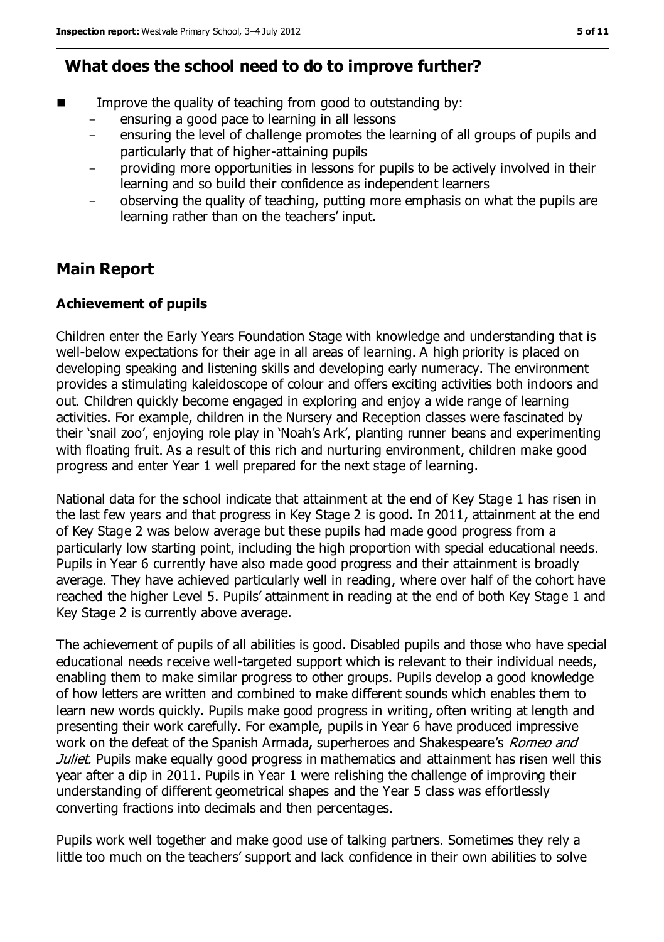### **What does the school need to do to improve further?**

- Improve the quality of teaching from good to outstanding by:
	- ensuring a good pace to learning in all lessons
	- ensuring the level of challenge promotes the learning of all groups of pupils and particularly that of higher-attaining pupils
	- providing more opportunities in lessons for pupils to be actively involved in their learning and so build their confidence as independent learners
	- observing the quality of teaching, putting more emphasis on what the pupils are learning rather than on the teachers' input.

# **Main Report**

#### **Achievement of pupils**

Children enter the Early Years Foundation Stage with knowledge and understanding that is well-below expectations for their age in all areas of learning. A high priority is placed on developing speaking and listening skills and developing early numeracy. The environment provides a stimulating kaleidoscope of colour and offers exciting activities both indoors and out. Children quickly become engaged in exploring and enjoy a wide range of learning activities. For example, children in the Nursery and Reception classes were fascinated by their 'snail zoo', enjoying role play in 'Noah's Ark', planting runner beans and experimenting with floating fruit. As a result of this rich and nurturing environment, children make good progress and enter Year 1 well prepared for the next stage of learning.

National data for the school indicate that attainment at the end of Key Stage 1 has risen in the last few years and that progress in Key Stage 2 is good. In 2011, attainment at the end of Key Stage 2 was below average but these pupils had made good progress from a particularly low starting point, including the high proportion with special educational needs. Pupils in Year 6 currently have also made good progress and their attainment is broadly average. They have achieved particularly well in reading, where over half of the cohort have reached the higher Level 5. Pupils' attainment in reading at the end of both Key Stage 1 and Key Stage 2 is currently above average.

The achievement of pupils of all abilities is good. Disabled pupils and those who have special educational needs receive well-targeted support which is relevant to their individual needs, enabling them to make similar progress to other groups. Pupils develop a good knowledge of how letters are written and combined to make different sounds which enables them to learn new words quickly. Pupils make good progress in writing, often writing at length and presenting their work carefully. For example, pupils in Year 6 have produced impressive work on the defeat of the Spanish Armada, superheroes and Shakespeare's Romeo and Juliet. Pupils make equally good progress in mathematics and attainment has risen well this year after a dip in 2011. Pupils in Year 1 were relishing the challenge of improving their understanding of different geometrical shapes and the Year 5 class was effortlessly converting fractions into decimals and then percentages.

Pupils work well together and make good use of talking partners. Sometimes they rely a little too much on the teachers' support and lack confidence in their own abilities to solve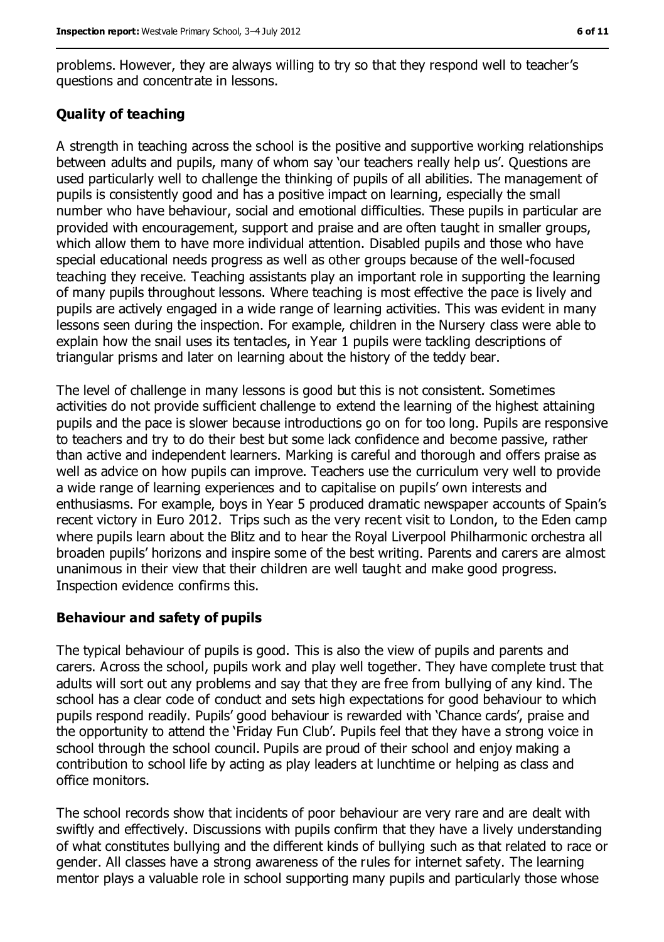problems. However, they are always willing to try so that they respond well to teacher's questions and concentrate in lessons.

#### **Quality of teaching**

A strength in teaching across the school is the positive and supportive working relationships between adults and pupils, many of whom say 'our teachers really help us'. Questions are used particularly well to challenge the thinking of pupils of all abilities. The management of pupils is consistently good and has a positive impact on learning, especially the small number who have behaviour, social and emotional difficulties. These pupils in particular are provided with encouragement, support and praise and are often taught in smaller groups, which allow them to have more individual attention. Disabled pupils and those who have special educational needs progress as well as other groups because of the well-focused teaching they receive. Teaching assistants play an important role in supporting the learning of many pupils throughout lessons. Where teaching is most effective the pace is lively and pupils are actively engaged in a wide range of learning activities. This was evident in many lessons seen during the inspection. For example, children in the Nursery class were able to explain how the snail uses its tentacles, in Year 1 pupils were tackling descriptions of triangular prisms and later on learning about the history of the teddy bear.

The level of challenge in many lessons is good but this is not consistent. Sometimes activities do not provide sufficient challenge to extend the learning of the highest attaining pupils and the pace is slower because introductions go on for too long. Pupils are responsive to teachers and try to do their best but some lack confidence and become passive, rather than active and independent learners. Marking is careful and thorough and offers praise as well as advice on how pupils can improve. Teachers use the curriculum very well to provide a wide range of learning experiences and to capitalise on pupils' own interests and enthusiasms. For example, boys in Year 5 produced dramatic newspaper accounts of Spain's recent victory in Euro 2012. Trips such as the very recent visit to London, to the Eden camp where pupils learn about the Blitz and to hear the Royal Liverpool Philharmonic orchestra all broaden pupils' horizons and inspire some of the best writing. Parents and carers are almost unanimous in their view that their children are well taught and make good progress. Inspection evidence confirms this.

#### **Behaviour and safety of pupils**

The typical behaviour of pupils is good. This is also the view of pupils and parents and carers. Across the school, pupils work and play well together. They have complete trust that adults will sort out any problems and say that they are free from bullying of any kind. The school has a clear code of conduct and sets high expectations for good behaviour to which pupils respond readily. Pupils' good behaviour is rewarded with 'Chance cards', praise and the opportunity to attend the 'Friday Fun Club'. Pupils feel that they have a strong voice in school through the school council. Pupils are proud of their school and enjoy making a contribution to school life by acting as play leaders at lunchtime or helping as class and office monitors.

The school records show that incidents of poor behaviour are very rare and are dealt with swiftly and effectively. Discussions with pupils confirm that they have a lively understanding of what constitutes bullying and the different kinds of bullying such as that related to race or gender. All classes have a strong awareness of the rules for internet safety. The learning mentor plays a valuable role in school supporting many pupils and particularly those whose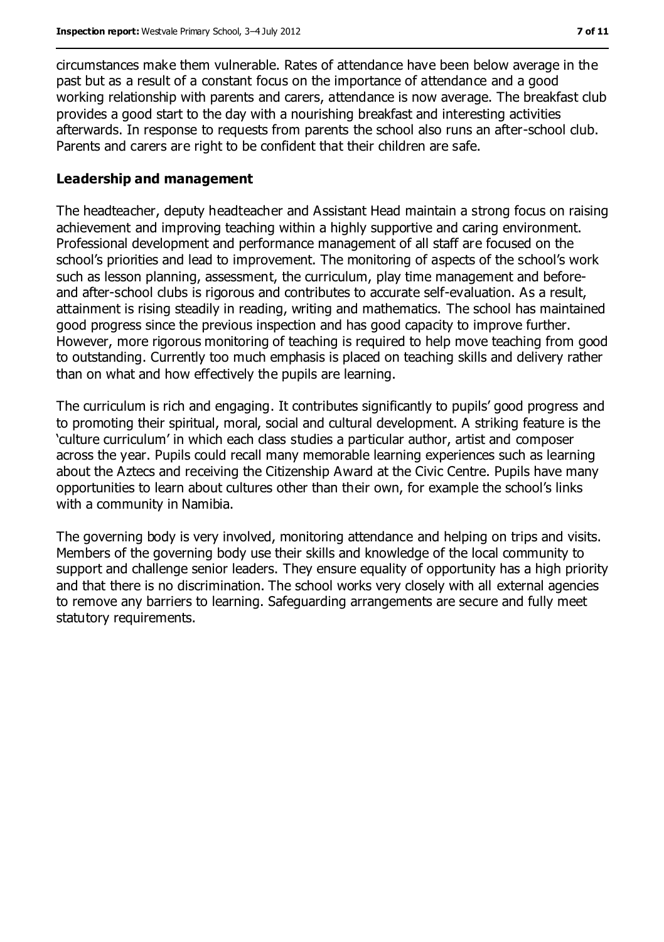circumstances make them vulnerable. Rates of attendance have been below average in the past but as a result of a constant focus on the importance of attendance and a good working relationship with parents and carers, attendance is now average. The breakfast club provides a good start to the day with a nourishing breakfast and interesting activities afterwards. In response to requests from parents the school also runs an after-school club. Parents and carers are right to be confident that their children are safe.

#### **Leadership and management**

The headteacher, deputy headteacher and Assistant Head maintain a strong focus on raising achievement and improving teaching within a highly supportive and caring environment. Professional development and performance management of all staff are focused on the school's priorities and lead to improvement. The monitoring of aspects of the school's work such as lesson planning, assessment, the curriculum, play time management and beforeand after-school clubs is rigorous and contributes to accurate self-evaluation. As a result, attainment is rising steadily in reading, writing and mathematics. The school has maintained good progress since the previous inspection and has good capacity to improve further. However, more rigorous monitoring of teaching is required to help move teaching from good to outstanding. Currently too much emphasis is placed on teaching skills and delivery rather than on what and how effectively the pupils are learning.

The curriculum is rich and engaging. It contributes significantly to pupils' good progress and to promoting their spiritual, moral, social and cultural development. A striking feature is the 'culture curriculum' in which each class studies a particular author, artist and composer across the year. Pupils could recall many memorable learning experiences such as learning about the Aztecs and receiving the Citizenship Award at the Civic Centre. Pupils have many opportunities to learn about cultures other than their own, for example the school's links with a community in Namibia.

The governing body is very involved, monitoring attendance and helping on trips and visits. Members of the governing body use their skills and knowledge of the local community to support and challenge senior leaders. They ensure equality of opportunity has a high priority and that there is no discrimination. The school works very closely with all external agencies to remove any barriers to learning. Safeguarding arrangements are secure and fully meet statutory requirements.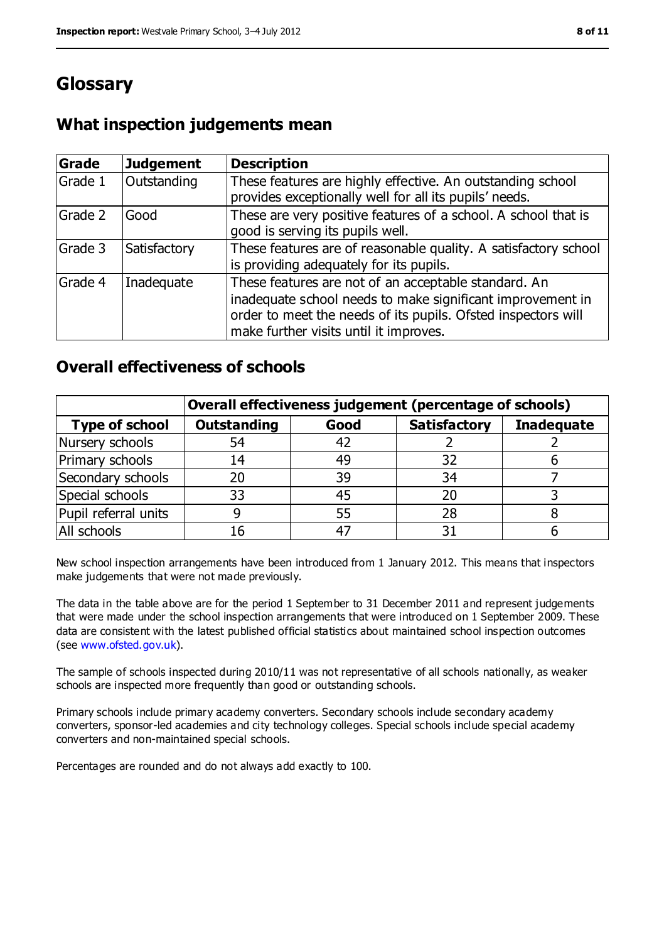# **Glossary**

### **What inspection judgements mean**

| Grade   | <b>Judgement</b> | <b>Description</b>                                                                                                                                                                                                            |
|---------|------------------|-------------------------------------------------------------------------------------------------------------------------------------------------------------------------------------------------------------------------------|
| Grade 1 | Outstanding      | These features are highly effective. An outstanding school<br>provides exceptionally well for all its pupils' needs.                                                                                                          |
| Grade 2 | Good             | These are very positive features of a school. A school that is<br>good is serving its pupils well.                                                                                                                            |
| Grade 3 | Satisfactory     | These features are of reasonable quality. A satisfactory school<br>is providing adequately for its pupils.                                                                                                                    |
| Grade 4 | Inadequate       | These features are not of an acceptable standard. An<br>inadequate school needs to make significant improvement in<br>order to meet the needs of its pupils. Ofsted inspectors will<br>make further visits until it improves. |

#### **Overall effectiveness of schools**

|                       | Overall effectiveness judgement (percentage of schools) |      |                     |                   |
|-----------------------|---------------------------------------------------------|------|---------------------|-------------------|
| <b>Type of school</b> | <b>Outstanding</b>                                      | Good | <b>Satisfactory</b> | <b>Inadequate</b> |
| Nursery schools       | 54                                                      | 42   |                     |                   |
| Primary schools       | 14                                                      | 49   | 32                  |                   |
| Secondary schools     | 20                                                      | 39   | 34                  |                   |
| Special schools       | 33                                                      | 45   | 20                  |                   |
| Pupil referral units  |                                                         | 55   | 28                  |                   |
| All schools           | 16                                                      | $-4$ |                     |                   |

New school inspection arrangements have been introduced from 1 January 2012. This means that inspectors make judgements that were not made previously.

The data in the table above are for the period 1 September to 31 December 2011 and represent judgements that were made under the school inspection arrangements that were introduced on 1 September 2009. These data are consistent with the latest published official statistics about maintained school inspection outcomes (see [www.ofsted.gov.uk\)](../../AppData/Downloads/www.ofsted.gov.uk).

The sample of schools inspected during 2010/11 was not representative of all schools nationally, as weaker schools are inspected more frequently than good or outstanding schools.

Primary schools include primary academy converters. Secondary schools include secondary academy converters, sponsor-led academies and city technology colleges. Special schools include special academy converters and non-maintained special schools.

Percentages are rounded and do not always add exactly to 100.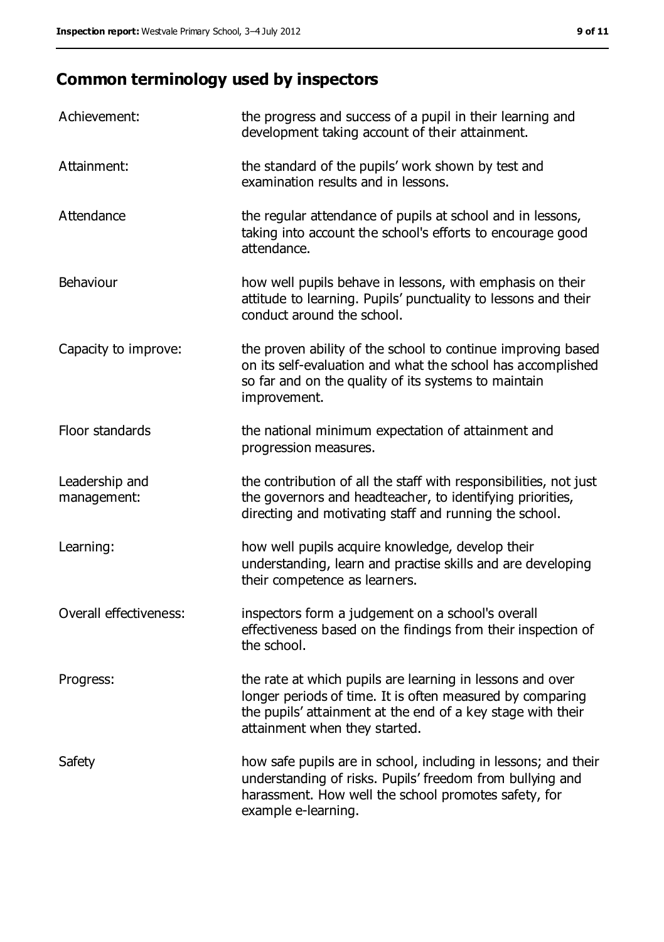# **Common terminology used by inspectors**

| Achievement:                  | the progress and success of a pupil in their learning and<br>development taking account of their attainment.                                                                                                           |
|-------------------------------|------------------------------------------------------------------------------------------------------------------------------------------------------------------------------------------------------------------------|
| Attainment:                   | the standard of the pupils' work shown by test and<br>examination results and in lessons.                                                                                                                              |
| Attendance                    | the regular attendance of pupils at school and in lessons,<br>taking into account the school's efforts to encourage good<br>attendance.                                                                                |
| Behaviour                     | how well pupils behave in lessons, with emphasis on their<br>attitude to learning. Pupils' punctuality to lessons and their<br>conduct around the school.                                                              |
| Capacity to improve:          | the proven ability of the school to continue improving based<br>on its self-evaluation and what the school has accomplished<br>so far and on the quality of its systems to maintain<br>improvement.                    |
| Floor standards               | the national minimum expectation of attainment and<br>progression measures.                                                                                                                                            |
| Leadership and<br>management: | the contribution of all the staff with responsibilities, not just<br>the governors and headteacher, to identifying priorities,<br>directing and motivating staff and running the school.                               |
| Learning:                     | how well pupils acquire knowledge, develop their<br>understanding, learn and practise skills and are developing<br>their competence as learners.                                                                       |
| Overall effectiveness:        | inspectors form a judgement on a school's overall<br>effectiveness based on the findings from their inspection of<br>the school.                                                                                       |
| Progress:                     | the rate at which pupils are learning in lessons and over<br>longer periods of time. It is often measured by comparing<br>the pupils' attainment at the end of a key stage with their<br>attainment when they started. |
| Safety                        | how safe pupils are in school, including in lessons; and their<br>understanding of risks. Pupils' freedom from bullying and<br>harassment. How well the school promotes safety, for<br>example e-learning.             |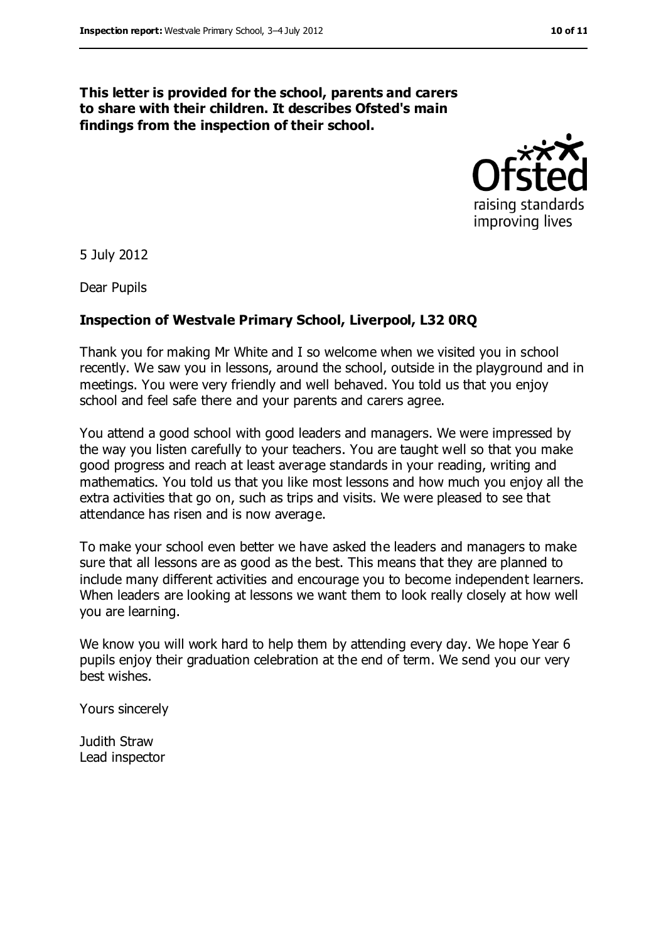#### **This letter is provided for the school, parents and carers to share with their children. It describes Ofsted's main findings from the inspection of their school.**



5 July 2012

Dear Pupils

#### **Inspection of Westvale Primary School, Liverpool, L32 0RQ**

Thank you for making Mr White and I so welcome when we visited you in school recently. We saw you in lessons, around the school, outside in the playground and in meetings. You were very friendly and well behaved. You told us that you enjoy school and feel safe there and your parents and carers agree.

You attend a good school with good leaders and managers. We were impressed by the way you listen carefully to your teachers. You are taught well so that you make good progress and reach at least average standards in your reading, writing and mathematics. You told us that you like most lessons and how much you enjoy all the extra activities that go on, such as trips and visits. We were pleased to see that attendance has risen and is now average.

To make your school even better we have asked the leaders and managers to make sure that all lessons are as good as the best. This means that they are planned to include many different activities and encourage you to become independent learners. When leaders are looking at lessons we want them to look really closely at how well you are learning.

We know you will work hard to help them by attending every day. We hope Year 6 pupils enjoy their graduation celebration at the end of term. We send you our very best wishes.

Yours sincerely

Judith Straw Lead inspector